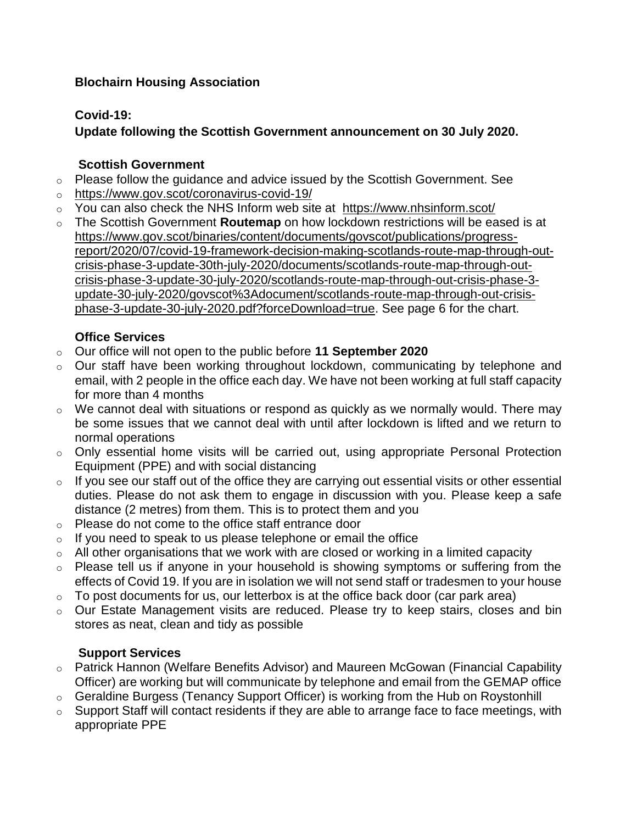### **Blochairn Housing Association**

## **Covid-19:**

## **Update following the Scottish Government announcement on 30 July 2020.**

### **Scottish Government**

- o Please follow the guidance and advice issued by the Scottish Government. See
- o <https://www.gov.scot/coronavirus-covid-19/>
- o You can also check the NHS Inform web site at <https://www.nhsinform.scot/>
- o The Scottish Government **Routemap** on how lockdown restrictions will be eased is at [https://www.gov.scot/binaries/content/documents/govscot/publications/progress](https://www.gov.scot/binaries/content/documents/govscot/publications/progress-report/2020/07/covid-19-framework-decision-making-scotlands-route-map-through-out-crisis-phase-3-update-30th-july-2020/documents/scotlands-route-map-through-out-crisis-phase-3-update-30-july-2020/scotlands-route-map-through-out-crisis-phase-3-update-30-july-2020/govscot%3Adocument/scotlands-route-map-through-out-crisis-phase-3-update-30-july-2020.pdf?forceDownload=true)[report/2020/07/covid-19-framework-decision-making-scotlands-route-map-through-out](https://www.gov.scot/binaries/content/documents/govscot/publications/progress-report/2020/07/covid-19-framework-decision-making-scotlands-route-map-through-out-crisis-phase-3-update-30th-july-2020/documents/scotlands-route-map-through-out-crisis-phase-3-update-30-july-2020/scotlands-route-map-through-out-crisis-phase-3-update-30-july-2020/govscot%3Adocument/scotlands-route-map-through-out-crisis-phase-3-update-30-july-2020.pdf?forceDownload=true)[crisis-phase-3-update-30th-july-2020/documents/scotlands-route-map-through-out](https://www.gov.scot/binaries/content/documents/govscot/publications/progress-report/2020/07/covid-19-framework-decision-making-scotlands-route-map-through-out-crisis-phase-3-update-30th-july-2020/documents/scotlands-route-map-through-out-crisis-phase-3-update-30-july-2020/scotlands-route-map-through-out-crisis-phase-3-update-30-july-2020/govscot%3Adocument/scotlands-route-map-through-out-crisis-phase-3-update-30-july-2020.pdf?forceDownload=true)[crisis-phase-3-update-30-july-2020/scotlands-route-map-through-out-crisis-phase-3](https://www.gov.scot/binaries/content/documents/govscot/publications/progress-report/2020/07/covid-19-framework-decision-making-scotlands-route-map-through-out-crisis-phase-3-update-30th-july-2020/documents/scotlands-route-map-through-out-crisis-phase-3-update-30-july-2020/scotlands-route-map-through-out-crisis-phase-3-update-30-july-2020/govscot%3Adocument/scotlands-route-map-through-out-crisis-phase-3-update-30-july-2020.pdf?forceDownload=true) [update-30-july-2020/govscot%3Adocument/scotlands-route-map-through-out-crisis](https://www.gov.scot/binaries/content/documents/govscot/publications/progress-report/2020/07/covid-19-framework-decision-making-scotlands-route-map-through-out-crisis-phase-3-update-30th-july-2020/documents/scotlands-route-map-through-out-crisis-phase-3-update-30-july-2020/scotlands-route-map-through-out-crisis-phase-3-update-30-july-2020/govscot%3Adocument/scotlands-route-map-through-out-crisis-phase-3-update-30-july-2020.pdf?forceDownload=true)[phase-3-update-30-july-2020.pdf?forceDownload=true.](https://www.gov.scot/binaries/content/documents/govscot/publications/progress-report/2020/07/covid-19-framework-decision-making-scotlands-route-map-through-out-crisis-phase-3-update-30th-july-2020/documents/scotlands-route-map-through-out-crisis-phase-3-update-30-july-2020/scotlands-route-map-through-out-crisis-phase-3-update-30-july-2020/govscot%3Adocument/scotlands-route-map-through-out-crisis-phase-3-update-30-july-2020.pdf?forceDownload=true) See page 6 for the chart.

### **Office Services**

- o Our office will not open to the public before **11 September 2020**
- o Our staff have been working throughout lockdown, communicating by telephone and email, with 2 people in the office each day. We have not been working at full staff capacity for more than 4 months
- $\circ$  We cannot deal with situations or respond as quickly as we normally would. There may be some issues that we cannot deal with until after lockdown is lifted and we return to normal operations
- o Only essential home visits will be carried out, using appropriate Personal Protection Equipment (PPE) and with social distancing
- o If you see our staff out of the office they are carrying out essential visits or other essential duties. Please do not ask them to engage in discussion with you. Please keep a safe distance (2 metres) from them. This is to protect them and you
- o Please do not come to the office staff entrance door
- $\circ$  If you need to speak to us please telephone or email the office
- $\circ$  All other organisations that we work with are closed or working in a limited capacity
- o Please tell us if anyone in your household is showing symptoms or suffering from the effects of Covid 19. If you are in isolation we will not send staff or tradesmen to your house
- $\circ$  To post documents for us, our letterbox is at the office back door (car park area)
- o Our Estate Management visits are reduced. Please try to keep stairs, closes and bin stores as neat, clean and tidy as possible

# **Support Services**

- o Patrick Hannon (Welfare Benefits Advisor) and Maureen McGowan (Financial Capability Officer) are working but will communicate by telephone and email from the GEMAP office
- o Geraldine Burgess (Tenancy Support Officer) is working from the Hub on Roystonhill
- $\circ$  Support Staff will contact residents if they are able to arrange face to face meetings, with appropriate PPE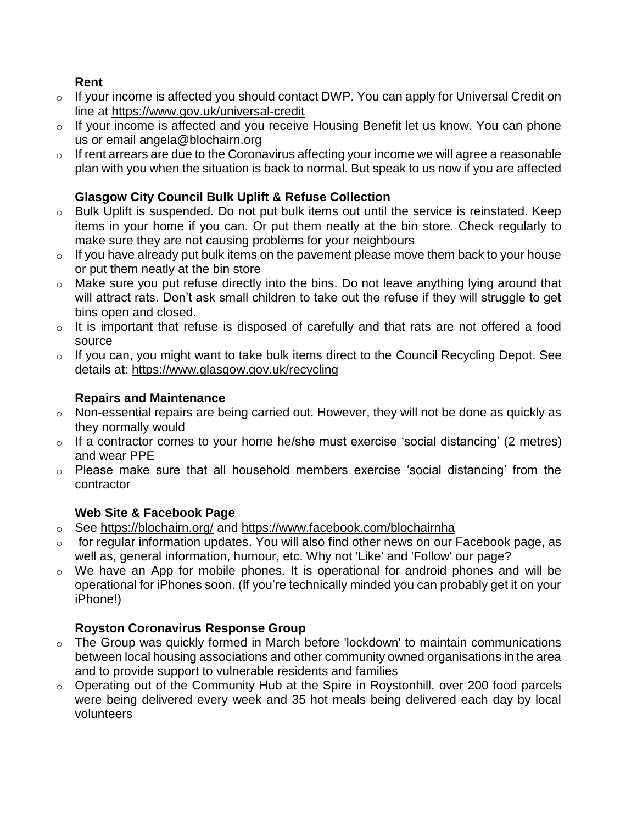### **Rent**

- o If your income is affected you should contact DWP. You can apply for Universal Credit on line at<https://www.gov.uk/universal-credit>
- o If your income is affected and you receive Housing Benefit let us know. You can phone us or email [angela@blochairn.org](mailto:angela@blochairn.org)
- o If rent arrears are due to the Coronavirus affecting your income we will agree a reasonable plan with you when the situation is back to normal. But speak to us now if you are affected

# **Glasgow City Council Bulk Uplift & Refuse Collection**

- o Bulk Uplift is suspended. Do not put bulk items out until the service is reinstated. Keep items in your home if you can. Or put them neatly at the bin store. Check regularly to make sure they are not causing problems for your neighbours
- $\circ$  If you have already put bulk items on the pavement please move them back to your house or put them neatly at the bin store
- o Make sure you put refuse directly into the bins. Do not leave anything lying around that will attract rats. Don't ask small children to take out the refuse if they will struggle to get bins open and closed.
- o It is important that refuse is disposed of carefully and that rats are not offered a food source
- o If you can, you might want to take bulk items direct to the Council Recycling Depot. See details at:<https://www.glasgow.gov.uk/recycling>

### **Repairs and Maintenance**

- o Non-essential repairs are being carried out. However, they will not be done as quickly as they normally would
- o If a contractor comes to your home he/she must exercise 'social distancing' (2 metres) and wear PPE
- o Please make sure that all household members exercise 'social distancing' from the contractor

# **Web Site & Facebook Page**

- o See <https://blochairn.org/> and <https://www.facebook.com/blochairnha>
- $\circ$  for regular information updates. You will also find other news on our Facebook page, as well as, general information, humour, etc. Why not 'Like' and 'Follow' our page?
- $\circ$  We have an App for mobile phones. It is operational for android phones and will be operational for iPhones soon. (If you're technically minded you can probably get it on your iPhone!)

# **Royston Coronavirus Response Group**

- o The Group was quickly formed in March before 'lockdown' to maintain communications between local housing associations and other community owned organisations in the area and to provide support to vulnerable residents and families
- o Operating out of the Community Hub at the Spire in Roystonhill, over 200 food parcels were being delivered every week and 35 hot meals being delivered each day by local volunteers